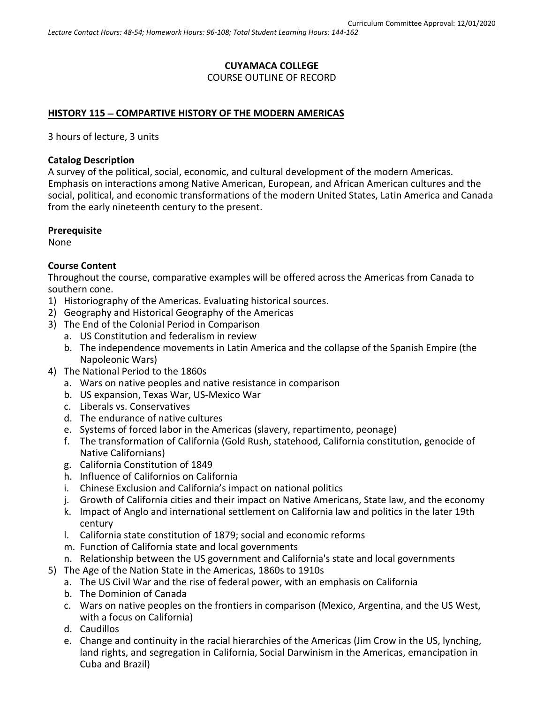### **CUYAMACA COLLEGE** COURSE OUTLINE OF RECORD

#### **HISTORY 115** − **COMPARTIVE HISTORY OF THE MODERN AMERICAS**

3 hours of lecture, 3 units

#### **Catalog Description**

A survey of the political, social, economic, and cultural development of the modern Americas. Emphasis on interactions among Native American, European, and African American cultures and the social, political, and economic transformations of the modern United States, Latin America and Canada from the early nineteenth century to the present.

#### **Prerequisite**

None

#### **Course Content**

Throughout the course, comparative examples will be offered across the Americas from Canada to southern cone.

- 1) Historiography of the Americas. Evaluating historical sources.
- 2) Geography and Historical Geography of the Americas
- 3) The End of the Colonial Period in Comparison
	- a. US Constitution and federalism in review
	- b. The independence movements in Latin America and the collapse of the Spanish Empire (the Napoleonic Wars)
- 4) The National Period to the 1860s
	- a. Wars on native peoples and native resistance in comparison
	- b. US expansion, Texas War, US-Mexico War
	- c. Liberals vs. Conservatives
	- d. The endurance of native cultures
	- e. Systems of forced labor in the Americas (slavery, repartimento, peonage)
	- f. The transformation of California (Gold Rush, statehood, California constitution, genocide of Native Californians)
	- g. California Constitution of 1849
	- h. Influence of Californios on California
	- i. Chinese Exclusion and California's impact on national politics
	- j. Growth of California cities and their impact on Native Americans, State law, and the economy
	- k. Impact of Anglo and international settlement on California law and politics in the later 19th century
	- l. California state constitution of 1879; social and economic reforms
	- m. Function of California state and local governments
	- n. Relationship between the US government and California's state and local governments
- 5) The Age of the Nation State in the Americas, 1860s to 1910s
	- a. The US Civil War and the rise of federal power, with an emphasis on California
	- b. The Dominion of Canada
	- c. Wars on native peoples on the frontiers in comparison (Mexico, Argentina, and the US West, with a focus on California)
	- d. Caudillos
	- e. Change and continuity in the racial hierarchies of the Americas (Jim Crow in the US, lynching, land rights, and segregation in California, Social Darwinism in the Americas, emancipation in Cuba and Brazil)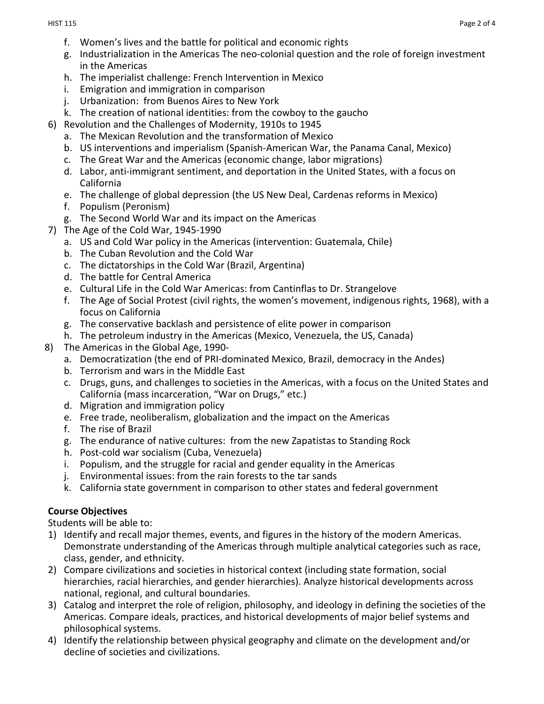- f. Women's lives and the battle for political and economic rights
- g. Industrialization in the Americas The neo-colonial question and the role of foreign investment in the Americas
- h. The imperialist challenge: French Intervention in Mexico
- i. Emigration and immigration in comparison
- j. Urbanization: from Buenos Aires to New York
- k. The creation of national identities: from the cowboy to the gaucho
- 6) Revolution and the Challenges of Modernity, 1910s to 1945
	- a. The Mexican Revolution and the transformation of Mexico
	- b. US interventions and imperialism (Spanish-American War, the Panama Canal, Mexico)
	- c. The Great War and the Americas (economic change, labor migrations)
	- d. Labor, anti-immigrant sentiment, and deportation in the United States, with a focus on California
	- e. The challenge of global depression (the US New Deal, Cardenas reforms in Mexico)
	- f. Populism (Peronism)
	- g. The Second World War and its impact on the Americas
- 7) The Age of the Cold War, 1945-1990
	- a. US and Cold War policy in the Americas (intervention: Guatemala, Chile)
	- b. The Cuban Revolution and the Cold War
	- c. The dictatorships in the Cold War (Brazil, Argentina)
	- d. The battle for Central America
	- e. Cultural Life in the Cold War Americas: from Cantinflas to Dr. Strangelove
	- f. The Age of Social Protest (civil rights, the women's movement, indigenous rights, 1968), with a focus on California
	- g. The conservative backlash and persistence of elite power in comparison
	- h. The petroleum industry in the Americas (Mexico, Venezuela, the US, Canada)
- 8) The Americas in the Global Age, 1990
	- a. Democratization (the end of PRI-dominated Mexico, Brazil, democracy in the Andes)
	- b. Terrorism and wars in the Middle East
	- c. Drugs, guns, and challenges to societies in the Americas, with a focus on the United States and California (mass incarceration, "War on Drugs," etc.)
	- d. Migration and immigration policy
	- e. Free trade, neoliberalism, globalization and the impact on the Americas
	- f. The rise of Brazil
	- g. The endurance of native cultures: from the new Zapatistas to Standing Rock
	- h. Post-cold war socialism (Cuba, Venezuela)
	- i. Populism, and the struggle for racial and gender equality in the Americas
	- j. Environmental issues: from the rain forests to the tar sands
	- k. California state government in comparison to other states and federal government

### **Course Objectives**

Students will be able to:

- 1) Identify and recall major themes, events, and figures in the history of the modern Americas. Demonstrate understanding of the Americas through multiple analytical categories such as race, class, gender, and ethnicity.
- 2) Compare civilizations and societies in historical context (including state formation, social hierarchies, racial hierarchies, and gender hierarchies). Analyze historical developments across national, regional, and cultural boundaries.
- 3) Catalog and interpret the role of religion, philosophy, and ideology in defining the societies of the Americas. Compare ideals, practices, and historical developments of major belief systems and philosophical systems.
- 4) Identify the relationship between physical geography and climate on the development and/or decline of societies and civilizations.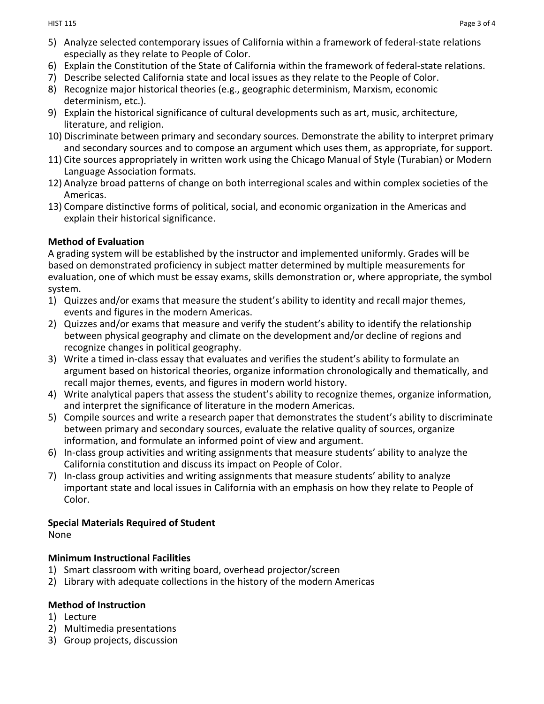- 5) Analyze selected contemporary issues of California within a framework of federal-state relations especially as they relate to People of Color.
- 6) Explain the Constitution of the State of California within the framework of federal-state relations.
- 7) Describe selected California state and local issues as they relate to the People of Color.
- 8) Recognize major historical theories (e.g., geographic determinism, Marxism, economic determinism, etc.).
- 9) Explain the historical significance of cultural developments such as art, music, architecture, literature, and religion.
- 10) Discriminate between primary and secondary sources. Demonstrate the ability to interpret primary and secondary sources and to compose an argument which uses them, as appropriate, for support.
- 11) Cite sources appropriately in written work using the Chicago Manual of Style (Turabian) or Modern Language Association formats.
- 12) Analyze broad patterns of change on both interregional scales and within complex societies of the Americas.
- 13) Compare distinctive forms of political, social, and economic organization in the Americas and explain their historical significance.

### **Method of Evaluation**

A grading system will be established by the instructor and implemented uniformly. Grades will be based on demonstrated proficiency in subject matter determined by multiple measurements for evaluation, one of which must be essay exams, skills demonstration or, where appropriate, the symbol system.

- 1) Quizzes and/or exams that measure the student's ability to identity and recall major themes, events and figures in the modern Americas.
- 2) Quizzes and/or exams that measure and verify the student's ability to identify the relationship between physical geography and climate on the development and/or decline of regions and recognize changes in political geography.
- 3) Write a timed in-class essay that evaluates and verifies the student's ability to formulate an argument based on historical theories, organize information chronologically and thematically, and recall major themes, events, and figures in modern world history.
- 4) Write analytical papers that assess the student's ability to recognize themes, organize information, and interpret the significance of literature in the modern Americas.
- 5) Compile sources and write a research paper that demonstrates the student's ability to discriminate between primary and secondary sources, evaluate the relative quality of sources, organize information, and formulate an informed point of view and argument.
- 6) In-class group activities and writing assignments that measure students' ability to analyze the California constitution and discuss its impact on People of Color.
- 7) In-class group activities and writing assignments that measure students' ability to analyze important state and local issues in California with an emphasis on how they relate to People of Color.

# **Special Materials Required of Student**

None

# **Minimum Instructional Facilities**

- 1) Smart classroom with writing board, overhead projector/screen
- 2) Library with adequate collections in the history of the modern Americas

# **Method of Instruction**

- 1) Lecture
- 2) Multimedia presentations
- 3) Group projects, discussion